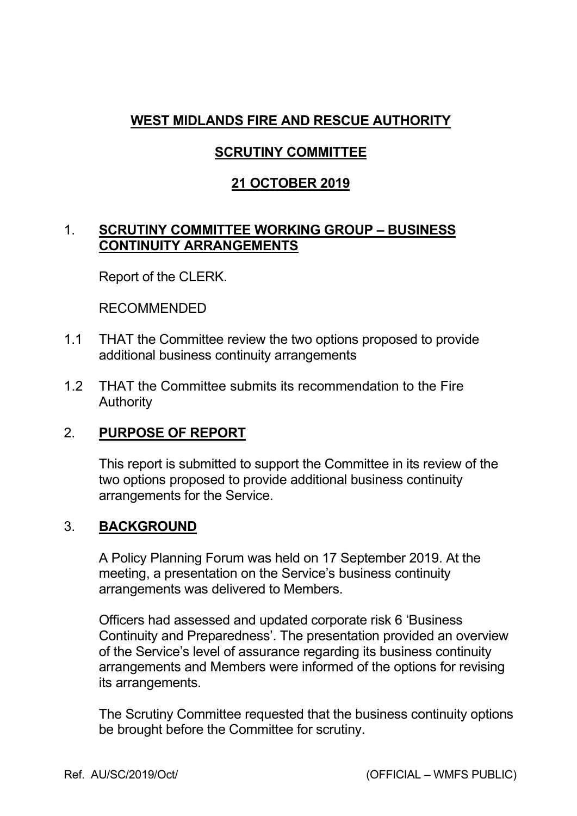# **WEST MIDLANDS FIRE AND RESCUE AUTHORITY**

# **SCRUTINY COMMITTEE**

### **21 OCTOBER 2019**

#### 1. **SCRUTINY COMMITTEE WORKING GROUP – BUSINESS CONTINUITY ARRANGEMENTS**

Report of the CLERK.

RECOMMENDED

- 1.1 THAT the Committee review the two options proposed to provide additional business continuity arrangements
- 1.2 THAT the Committee submits its recommendation to the Fire Authority

## 2. **PURPOSE OF REPORT**

 This report is submitted to support the Committee in its review of the two options proposed to provide additional business continuity arrangements for the Service.

#### 3. **BACKGROUND**

 A Policy Planning Forum was held on 17 September 2019. At the meeting, a presentation on the Service's business continuity arrangements was delivered to Members.

Officers had assessed and updated corporate risk 6 'Business Continuity and Preparedness'. The presentation provided an overview of the Service's level of assurance regarding its business continuity arrangements and Members were informed of the options for revising its arrangements.

 The Scrutiny Committee requested that the business continuity options be brought before the Committee for scrutiny.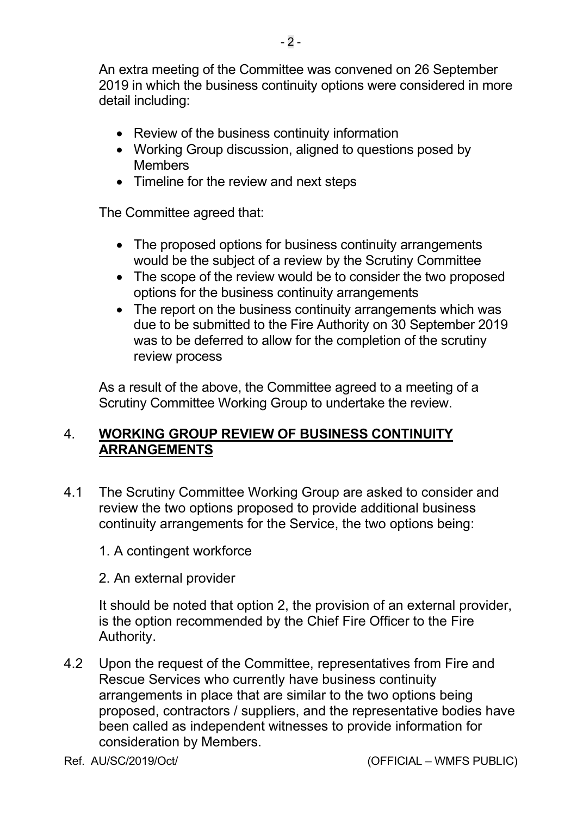An extra meeting of the Committee was convened on 26 September 2019 in which the business continuity options were considered in more detail including:

- Review of the business continuity information
- Working Group discussion, aligned to questions posed by **Members**
- Timeline for the review and next steps

The Committee agreed that:

- The proposed options for business continuity arrangements would be the subject of a review by the Scrutiny Committee
- The scope of the review would be to consider the two proposed options for the business continuity arrangements
- The report on the business continuity arrangements which was due to be submitted to the Fire Authority on 30 September 2019 was to be deferred to allow for the completion of the scrutiny review process

 As a result of the above, the Committee agreed to a meeting of a Scrutiny Committee Working Group to undertake the review.

#### 4. **WORKING GROUP REVIEW OF BUSINESS CONTINUITY ARRANGEMENTS**

- 4.1 The Scrutiny Committee Working Group are asked to consider and review the two options proposed to provide additional business continuity arrangements for the Service, the two options being:
	- 1. A contingent workforce
	- 2. An external provider

It should be noted that option 2, the provision of an external provider, is the option recommended by the Chief Fire Officer to the Fire Authority.

4.2 Upon the request of the Committee, representatives from Fire and Rescue Services who currently have business continuity arrangements in place that are similar to the two options being proposed, contractors / suppliers, and the representative bodies have been called as independent witnesses to provide information for consideration by Members.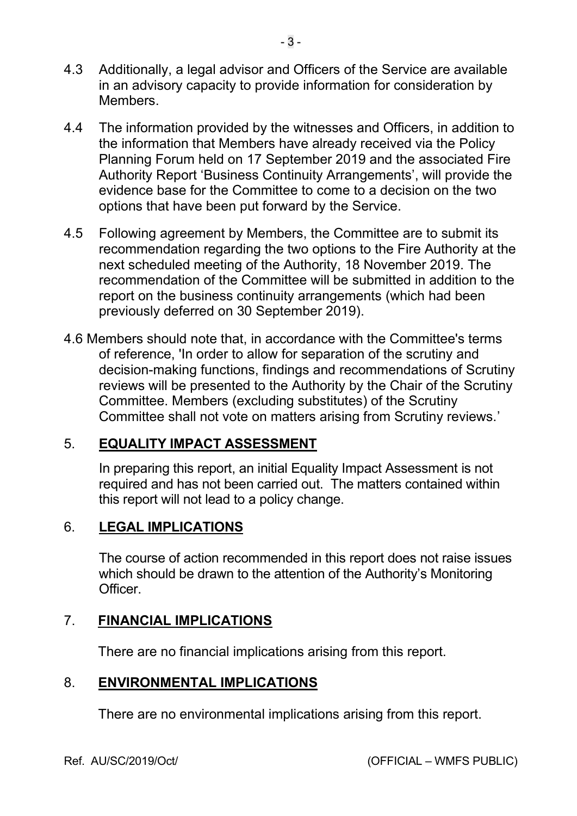- 4.3 Additionally, a legal advisor and Officers of the Service are available in an advisory capacity to provide information for consideration by Members.
- 4.4 The information provided by the witnesses and Officers, in addition to the information that Members have already received via the Policy Planning Forum held on 17 September 2019 and the associated Fire Authority Report 'Business Continuity Arrangements', will provide the evidence base for the Committee to come to a decision on the two options that have been put forward by the Service.
- 4.5 Following agreement by Members, the Committee are to submit its recommendation regarding the two options to the Fire Authority at the next scheduled meeting of the Authority, 18 November 2019. The recommendation of the Committee will be submitted in addition to the report on the business continuity arrangements (which had been previously deferred on 30 September 2019).
- 4.6 Members should note that, in accordance with the Committee's terms of reference, 'In order to allow for separation of the scrutiny and decision-making functions, findings and recommendations of Scrutiny reviews will be presented to the Authority by the Chair of the Scrutiny Committee. Members (excluding substitutes) of the Scrutiny Committee shall not vote on matters arising from Scrutiny reviews.'

## 5. **EQUALITY IMPACT ASSESSMENT**

 In preparing this report, an initial Equality Impact Assessment is not required and has not been carried out. The matters contained within this report will not lead to a policy change.

#### 6. **LEGAL IMPLICATIONS**

 The course of action recommended in this report does not raise issues which should be drawn to the attention of the Authority's Monitoring **Officer** 

## 7. **FINANCIAL IMPLICATIONS**

There are no financial implications arising from this report.

#### 8. **ENVIRONMENTAL IMPLICATIONS**

There are no environmental implications arising from this report.